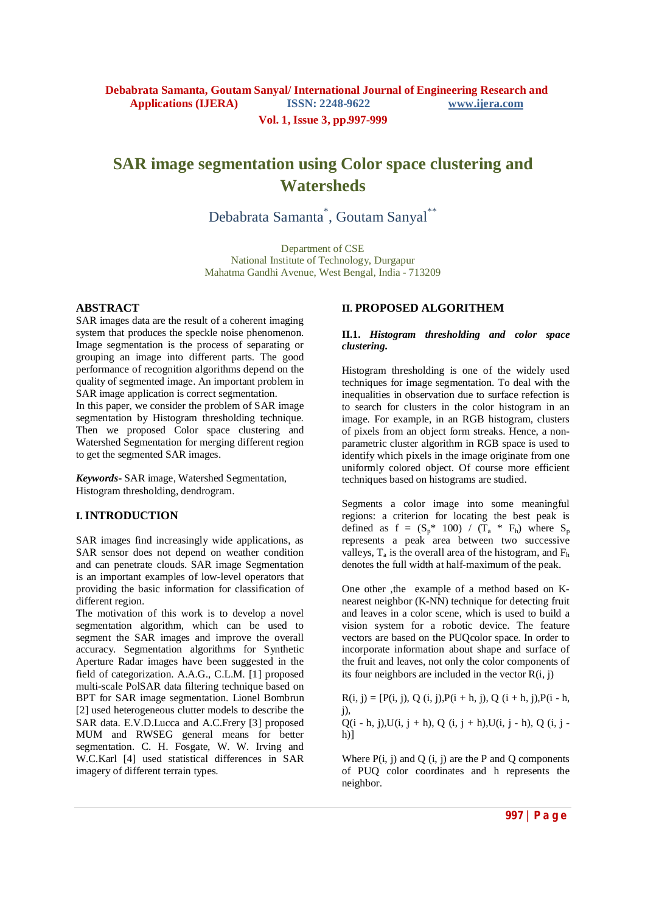# **SAR image segmentation using Color space clustering and Watersheds**

Debabrata Samanta<sup>\*</sup>, Goutam Sanyal<sup>\*\*</sup>

Department of CSE National Institute of Technology, Durgapur Mahatma Gandhi Avenue, West Bengal, India - 713209

#### **ABSTRACT**

SAR images data are the result of a coherent imaging system that produces the speckle noise phenomenon. Image segmentation is the process of separating or grouping an image into different parts. The good performance of recognition algorithms depend on the quality of segmented image. An important problem in SAR image application is correct segmentation.

In this paper, we consider the problem of SAR image segmentation by Histogram thresholding technique. Then we proposed Color space clustering and Watershed Segmentation for merging different region to get the segmented SAR images.

*Keywords***-** SAR image, Watershed Segmentation, Histogram thresholding, dendrogram.

### **I. INTRODUCTION**

SAR images find increasingly wide applications, as SAR sensor does not depend on weather condition and can penetrate clouds. SAR image Segmentation is an important examples of low-level operators that providing the basic information for classification of different region.

The motivation of this work is to develop a novel segmentation algorithm, which can be used to segment the SAR images and improve the overall accuracy. Segmentation algorithms for Synthetic Aperture Radar images have been suggested in the field of categorization. A.A.G., C.L.M. [1] proposed multi-scale PolSAR data filtering technique based on BPT for SAR image segmentation. Lionel Bombrun [2] used heterogeneous clutter models to describe the SAR data. E.V.D.Lucca and A.C.Frery [3] proposed MUM and RWSEG general means for better segmentation. C. H. Fosgate, W. W. Irving and W.C.Karl [4] used statistical differences in SAR imagery of different terrain types.

## **II. PROPOSED ALGORITHEM**

#### **II.1.** *Histogram thresholding and color space clustering.*

Histogram thresholding is one of the widely used techniques for image segmentation. To deal with the inequalities in observation due to surface refection is to search for clusters in the color histogram in an image. For example, in an RGB histogram, clusters of pixels from an object form streaks. Hence, a nonparametric cluster algorithm in RGB space is used to identify which pixels in the image originate from one uniformly colored object. Of course more efficient techniques based on histograms are studied.

Segments a color image into some meaningful regions: a criterion for locating the best peak is defined as  $f = (S_p^* 100) / (\overline{T}_a * F_h)$  where  $S_p$ represents a peak area between two successive valleys,  $T_a$  is the overall area of the histogram, and  $F_b$ denotes the full width at half-maximum of the peak.

One other ,the example of a method based on Knearest neighbor (K-NN) technique for detecting fruit and leaves in a color scene, which is used to build a vision system for a robotic device. The feature vectors are based on the PUQcolor space. In order to incorporate information about shape and surface of the fruit and leaves, not only the color components of its four neighbors are included in the vector  $R(i, j)$ 

 $R(i, j) = [P(i, j), Q(i, j), P(i + h, j), Q(i + h, j), P(i - h, j)]$ j), Q(i - h, j),U(i, j + h), Q (i, j + h),U(i, j - h), Q (i, j  $h$ )]

Where  $P(i, j)$  and  $Q(i, j)$  are the P and Q components of PUQ color coordinates and h represents the neighbor.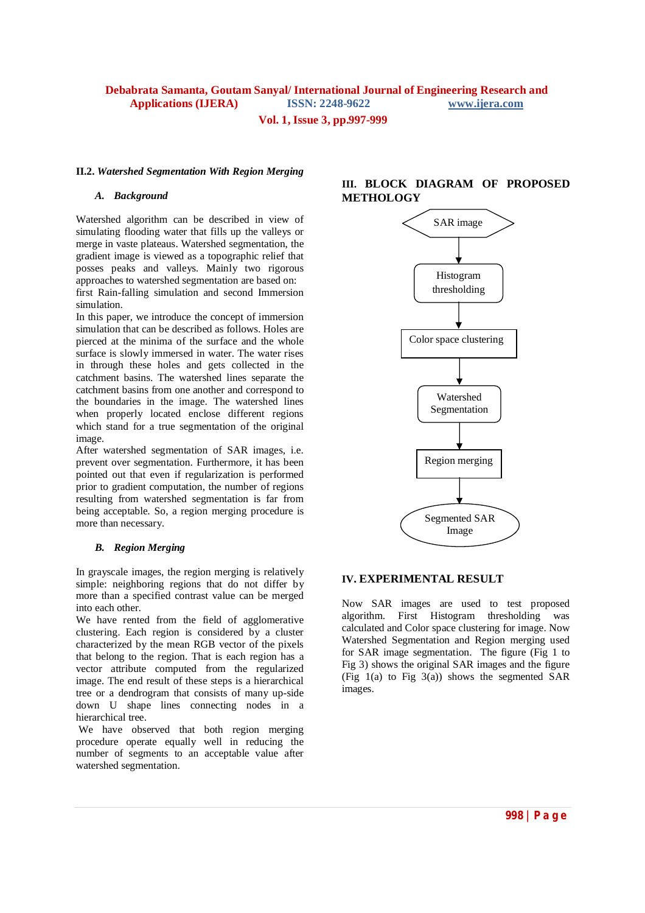# **Debabrata Samanta, Goutam Sanyal/ International Journal of Engineering Research and Applications (IJERA) ISSN: 2248-9622 www.ijera.com**

**Vol. 1, Issue 3, pp.997-999**

#### **II.2.** *Watershed Segmentation With Region Merging*

#### *A. Background*

Watershed algorithm can be described in view of simulating flooding water that fills up the valleys or merge in vaste plateaus. Watershed segmentation, the gradient image is viewed as a topographic relief that posses peaks and valleys. Mainly two rigorous approaches to watershed segmentation are based on:

first Rain-falling simulation and second Immersion simulation.

In this paper, we introduce the concept of immersion simulation that can be described as follows. Holes are pierced at the minima of the surface and the whole surface is slowly immersed in water. The water rises in through these holes and gets collected in the catchment basins. The watershed lines separate the catchment basins from one another and correspond to the boundaries in the image. The watershed lines when properly located enclose different regions which stand for a true segmentation of the original image.

After watershed segmentation of SAR images, i.e. prevent over segmentation. Furthermore, it has been pointed out that even if regularization is performed prior to gradient computation, the number of regions resulting from watershed segmentation is far from being acceptable. So, a region merging procedure is more than necessary.

#### *B. Region Merging*

In grayscale images, the region merging is relatively simple: neighboring regions that do not differ by more than a specified contrast value can be merged into each other.

We have rented from the field of agglomerative clustering. Each region is considered by a cluster characterized by the mean RGB vector of the pixels that belong to the region. That is each region has a vector attribute computed from the regularized image. The end result of these steps is a hierarchical tree or a dendrogram that consists of many up-side down U shape lines connecting nodes in a hierarchical tree.

We have observed that both region merging procedure operate equally well in reducing the number of segments to an acceptable value after watershed segmentation.

### **III. BLOCK DIAGRAM OF PROPOSED METHOLOGY**



#### **IV. EXPERIMENTAL RESULT**

Now SAR images are used to test proposed algorithm. First Histogram thresholding was calculated and Color space clustering for image. Now Watershed Segmentation and Region merging used for SAR image segmentation. The figure (Fig 1 to Fig 3) shows the original SAR images and the figure (Fig  $1(a)$  to Fig  $3(a)$ ) shows the segmented SAR images.